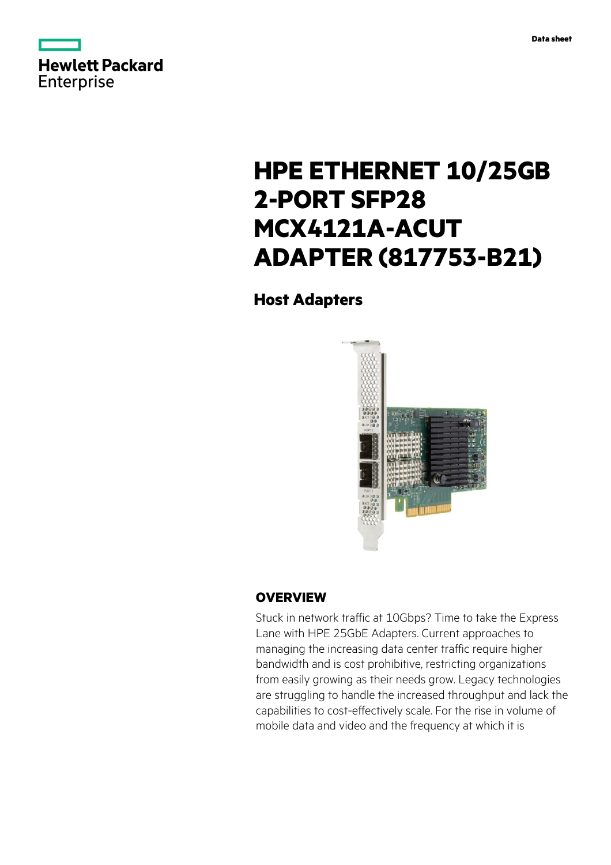



# **HPE ETHERNET 10/25GB 2-PORT SFP28 MCX4121A-ACUT ADAPTER (817753-B21)**

# **Host Adapters**



# **OVERVIEW**

Stuck in network traffic at 10Gbps? Time to take the Express Lane with HPE 25GbE Adapters. Current approaches to managing the increasing data center traffic require higher bandwidth and is cost prohibitive, restricting organizations from easily growing as their needs grow. Legacy technologies are struggling to handle the increased throughput and lack the capabilities to cost-effectively scale. For the rise in volume of mobile data and video and the frequency at which it is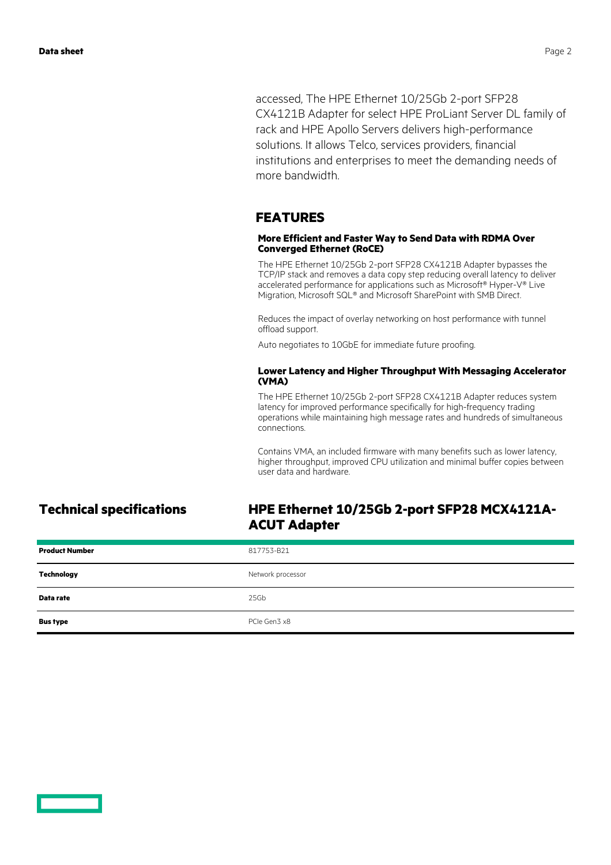accessed, The HPE Ethernet 10/25Gb 2-port SFP28 CX4121B Adapter for select HPE ProLiant Server DL family of rack and HPE Apollo Servers delivers high-performance solutions. It allows Telco, services providers, financial institutions and enterprises to meet the demanding needs of more bandwidth.

### **FEATURES**

### **More Efficient and Faster Way to Send Data with RDMA Over Converged Ethernet (RoCE)**

The HPE Ethernet 10/25Gb 2-port SFP28 CX4121B Adapter bypasses the TCP/IP stack and removes a data copy step reducing overall latency to deliver accelerated performance for applications such as Microsoft® Hyper-V® Live Migration, Microsoft SQL® and Microsoft SharePoint with SMB Direct.

Reduces the impact of overlay networking on host performance with tunnel offload support.

Auto negotiates to 10GbE for immediate future proofing.

### **Lower Latency and Higher Throughput With Messaging Accelerator (VMA)**

The HPE Ethernet 10/25Gb 2-port SFP28 CX4121B Adapter reduces system latency for improved performance specifically for high-frequency trading operations while maintaining high message rates and hundreds of simultaneous connections.

Contains VMA, an included firmware with many benefits such as lower latency, higher throughput, improved CPU utilization and minimal buffer copies between user data and hardware.

### **Technical specifications HPE Ethernet 10/25Gb 2-port SFP28 MCX4121A-ACUT Adapter**

| <b>Product Number</b> | 817753-B21        |
|-----------------------|-------------------|
| <b>Technology</b>     | Network processor |
| Data rate             | 25Gb              |
| <b>Bus type</b>       | PCIe Gen3 x8      |